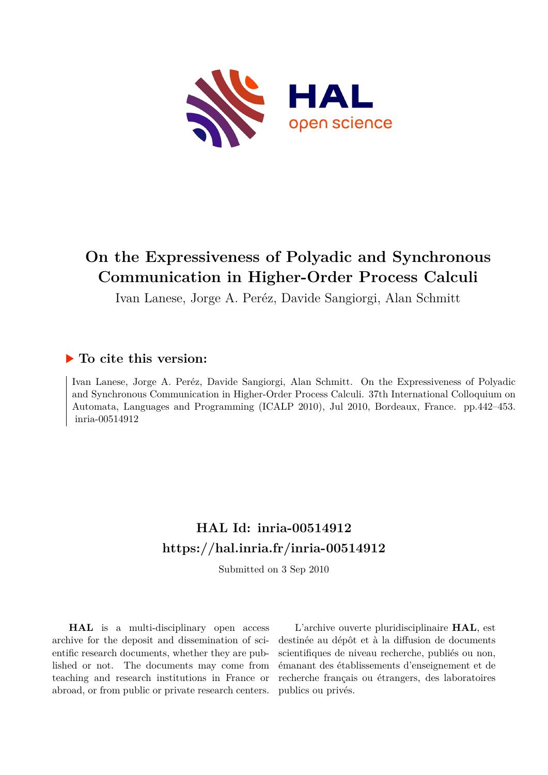

# **On the Expressiveness of Polyadic and Synchronous Communication in Higher-Order Process Calculi**

Ivan Lanese, Jorge A. Peréz, Davide Sangiorgi, Alan Schmitt

# **To cite this version:**

Ivan Lanese, Jorge A. Peréz, Davide Sangiorgi, Alan Schmitt. On the Expressiveness of Polyadic and Synchronous Communication in Higher-Order Process Calculi. 37th International Colloquium on Automata, Languages and Programming (ICALP 2010), Jul 2010, Bordeaux, France. pp.442–453. inria-00514912

# **HAL Id: inria-00514912 <https://hal.inria.fr/inria-00514912>**

Submitted on 3 Sep 2010

**HAL** is a multi-disciplinary open access archive for the deposit and dissemination of scientific research documents, whether they are published or not. The documents may come from teaching and research institutions in France or abroad, or from public or private research centers.

L'archive ouverte pluridisciplinaire **HAL**, est destinée au dépôt et à la diffusion de documents scientifiques de niveau recherche, publiés ou non, émanant des établissements d'enseignement et de recherche français ou étrangers, des laboratoires publics ou privés.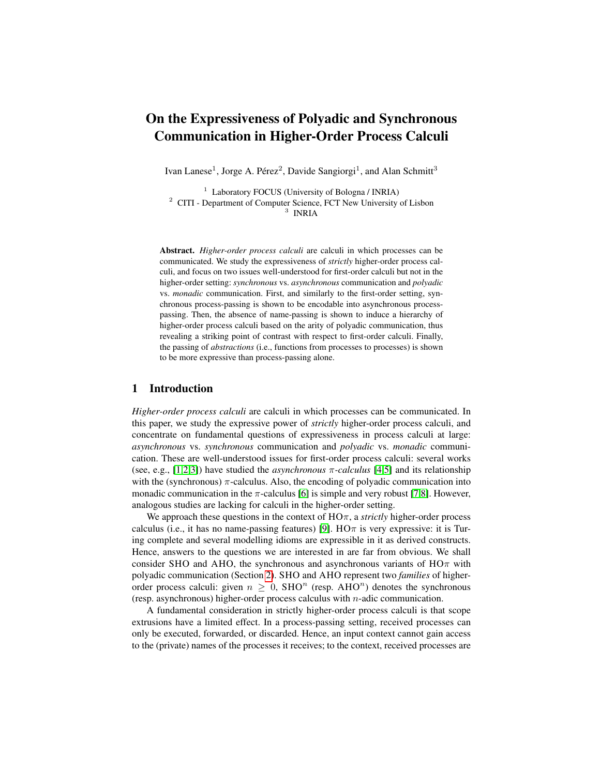# On the Expressiveness of Polyadic and Synchronous Communication in Higher-Order Process Calculi

Ivan Lanese<sup>1</sup>, Jorge A. Pérez<sup>2</sup>, Davide Sangiorgi<sup>1</sup>, and Alan Schmitt<sup>3</sup>

 $1$  Laboratory FOCUS (University of Bologna / INRIA) <sup>2</sup> CITI - Department of Computer Science, FCT New University of Lisbon 3 INRIA

Abstract. *Higher-order process calculi* are calculi in which processes can be communicated. We study the expressiveness of *strictly* higher-order process calculi, and focus on two issues well-understood for first-order calculi but not in the higher-order setting: *synchronous* vs. *asynchronous* communication and *polyadic* vs. *monadic* communication. First, and similarly to the first-order setting, synchronous process-passing is shown to be encodable into asynchronous processpassing. Then, the absence of name-passing is shown to induce a hierarchy of higher-order process calculi based on the arity of polyadic communication, thus revealing a striking point of contrast with respect to first-order calculi. Finally, the passing of *abstractions* (i.e., functions from processes to processes) is shown to be more expressive than process-passing alone.

# 1 Introduction

*Higher-order process calculi* are calculi in which processes can be communicated. In this paper, we study the expressive power of *strictly* higher-order process calculi, and concentrate on fundamental questions of expressiveness in process calculi at large: *asynchronous* vs. *synchronous* communication and *polyadic* vs. *monadic* communication. These are well-understood issues for first-order process calculi: several works (see, e.g., [\[1,](#page-12-0)[2,](#page-12-1)[3\]](#page-12-2)) have studied the *asynchronous*  $\pi$ -calculus [\[4,](#page-12-3)[5\]](#page-12-4) and its relationship with the (synchronous)  $\pi$ -calculus. Also, the encoding of polyadic communication into monadic communication in the  $\pi$ -calculus [\[6\]](#page-12-5) is simple and very robust [\[7,](#page-12-6)[8\]](#page-12-7). However, analogous studies are lacking for calculi in the higher-order setting.

We approach these questions in the context of  $H\mathcal{O}\pi$ , a *strictly* higher-order process calculus (i.e., it has no name-passing features) [\[9\]](#page-12-8).  $H\sigma\pi$  is very expressive: it is Turing complete and several modelling idioms are expressible in it as derived constructs. Hence, answers to the questions we are interested in are far from obvious. We shall consider SHO and AHO, the synchronous and asynchronous variants of  $H\text{O}\pi$  with polyadic communication (Section [2\)](#page-2-0). SHO and AHO represent two *families* of higherorder process calculi: given  $n \geq 0$ , SHO<sup>n</sup> (resp. AHO<sup>n</sup>) denotes the synchronous (resp. asynchronous) higher-order process calculus with  $n$ -adic communication.

A fundamental consideration in strictly higher-order process calculi is that scope extrusions have a limited effect. In a process-passing setting, received processes can only be executed, forwarded, or discarded. Hence, an input context cannot gain access to the (private) names of the processes it receives; to the context, received processes are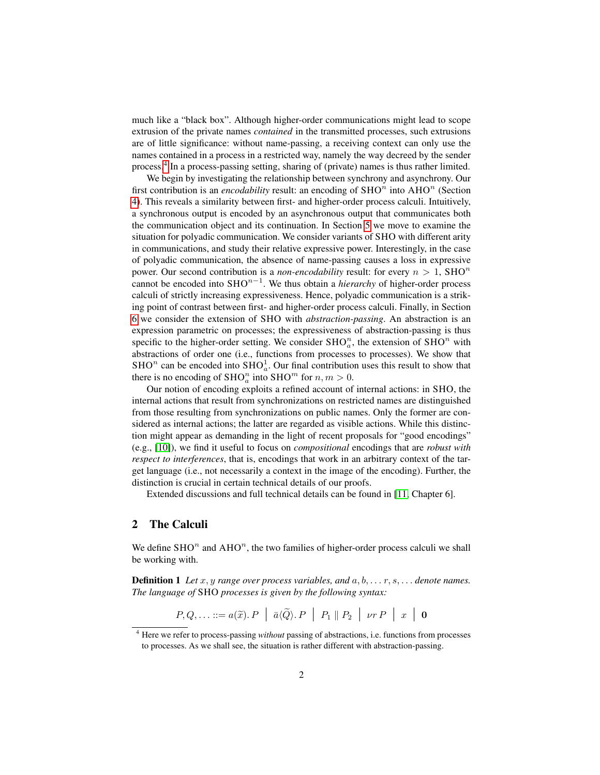much like a "black box". Although higher-order communications might lead to scope extrusion of the private names *contained* in the transmitted processes, such extrusions are of little significance: without name-passing, a receiving context can only use the names contained in a process in a restricted way, namely the way decreed by the sender process.[4](#page-2-1) In a process-passing setting, sharing of (private) names is thus rather limited.

We begin by investigating the relationship between synchrony and asynchrony. Our first contribution is an *encodability* result: an encoding of  $\text{SHO}^n$  into  $\text{AHO}^n$  (Section [4\)](#page-5-0). This reveals a similarity between first- and higher-order process calculi. Intuitively, a synchronous output is encoded by an asynchronous output that communicates both the communication object and its continuation. In Section [5](#page-6-0) we move to examine the situation for polyadic communication. We consider variants of SHO with different arity in communications, and study their relative expressive power. Interestingly, in the case of polyadic communication, the absence of name-passing causes a loss in expressive power. Our second contribution is a *non-encodability* result: for every  $n > 1$ , SHO<sup>n</sup> cannot be encoded into  $\text{SHO}^{n-1}$ . We thus obtain a *hierarchy* of higher-order process calculi of strictly increasing expressiveness. Hence, polyadic communication is a striking point of contrast between first- and higher-order process calculi. Finally, in Section [6](#page-10-0) we consider the extension of SHO with *abstraction-passing*. An abstraction is an expression parametric on processes; the expressiveness of abstraction-passing is thus specific to the higher-order setting. We consider  $\text{SHO}_a^n$ , the extension of  $\text{SHO}^n$  with abstractions of order one (i.e., functions from processes to processes). We show that SHO<sup>n</sup> can be encoded into SHO<sub>a</sub>. Our final contribution uses this result to show that there is no encoding of  $\text{SHO}_a^n$  into  $\text{SHO}^m$  for  $n, m > 0$ .

Our notion of encoding exploits a refined account of internal actions: in SHO, the internal actions that result from synchronizations on restricted names are distinguished from those resulting from synchronizations on public names. Only the former are considered as internal actions; the latter are regarded as visible actions. While this distinction might appear as demanding in the light of recent proposals for "good encodings" (e.g., [\[10\]](#page-12-9)), we find it useful to focus on *compositional* encodings that are *robust with respect to interferences*, that is, encodings that work in an arbitrary context of the target language (i.e., not necessarily a context in the image of the encoding). Further, the distinction is crucial in certain technical details of our proofs.

Extended discussions and full technical details can be found in [\[11,](#page-12-10) Chapter 6].

# <span id="page-2-0"></span>2 The Calculi

We define  $\text{SHO}^n$  and  $\text{AHO}^n$ , the two families of higher-order process calculi we shall be working with.

<span id="page-2-2"></span>**Definition 1** Let  $x, y$  range over process variables, and  $a, b, \ldots r, s, \ldots$  denote names. *The language of* SHO *processes is given by the following syntax:*

 $P, Q, \ldots ::= a(\widetilde{x}), P \mid \overline{a} \langle \widetilde{Q} \rangle, P \mid P_1 \parallel P_2 \mid \nu r P \mid x \mid \mathbf{0}$ 

<span id="page-2-1"></span><sup>4</sup> Here we refer to process-passing *without* passing of abstractions, i.e. functions from processes to processes. As we shall see, the situation is rather different with abstraction-passing.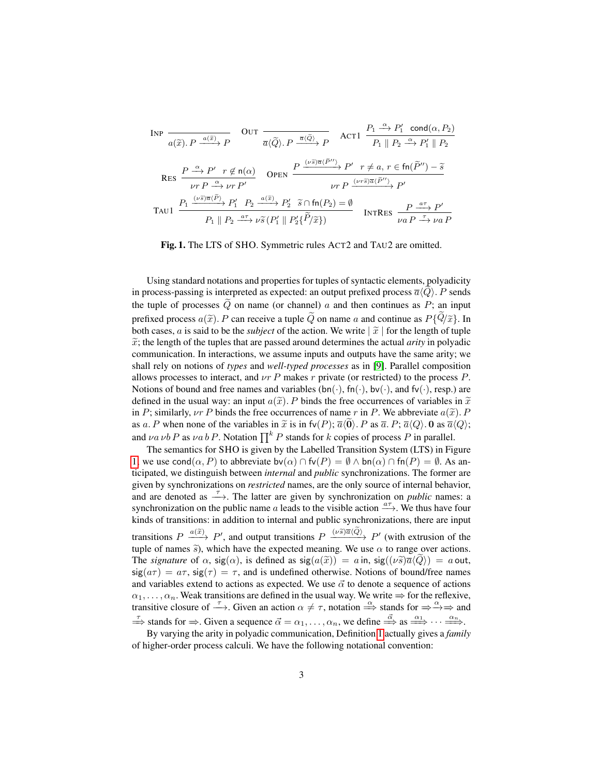INP

\n
$$
\frac{d(\widetilde{x}) \cdot P \xrightarrow{a(\widetilde{x})} P}{d(\widetilde{x}) \cdot P \xrightarrow{a(\widetilde{x})} P} \quad \text{OUT } \frac{P_1 \xrightarrow{\alpha} P_1' \text{ cond}(\alpha, P_2)}{P_1 \parallel P_2 \xrightarrow{\alpha} P_1' \parallel P_2}
$$
\nACT1

\n
$$
\frac{P_1 \xrightarrow{\alpha} P_1' \text{ cond}(\alpha, P_2)}{P_1 \parallel P_2 \xrightarrow{\alpha} P_1' \parallel P_2}
$$
\nRES

\n
$$
\frac{P \xrightarrow{\alpha} P' \r f \notin \mathfrak{n}(\alpha)}{\nu r P \xrightarrow{\alpha} \nu r P'}
$$
\nOFEN

\n
$$
\frac{P \xrightarrow{(\nu \widetilde{s}) \overline{a} \langle \widetilde{P}_1' \rangle} P' \r f \neq a, r \in \mathfrak{fn}(\widetilde{P}_1'') - \widetilde{s}}{\nu r P \xrightarrow{(\nu r \widetilde{s}) \overline{a} \langle \widetilde{P}_1'' \rangle} P'}
$$
\nTAUI

\n
$$
\frac{P_1 \xrightarrow{a \tau} P \xrightarrow{a \tau} \nu \widetilde{s} \left( P_1' \parallel P_2' \{ \widetilde{P}_1 \widetilde{x} \} \right)} \quad \text{INTRes}
$$
\n
$$
\frac{P \xrightarrow{a \tau} P'}{\nu a P \xrightarrow{\tau} \nu a P}
$$

<span id="page-3-0"></span>Fig. 1. The LTS of SHO. Symmetric rules ACT2 and TAU2 are omitted.

Using standard notations and properties for tuples of syntactic elements, polyadicity in process-passing is interpreted as expected: an output prefixed process  $\overline{a}\langle Q \rangle$ . P sends the tuple of processes  $Q$  on name (or channel)  $a$  and then continues as  $P$ ; an input prefixed process  $a(\tilde{x})$ . P can receive a tuple  $\tilde{Q}$  on name a and continue as  $P\{\tilde{Q}/\tilde{x}\}$ . In both cases, a is said to be the *subject* of the action. We write  $\tilde{x}$  for the length of tuple  $\tilde{x}$ ; the length of the tuples that are passed around determines the actual *arity* in polyadic communication. In interactions, we assume inputs and outputs have the same arity; we shall rely on notions of *types* and *well-typed processes* as in [\[9\]](#page-12-8). Parallel composition allows processes to interact, and  $\nu r$  P makes r private (or restricted) to the process P. Notions of bound and free names and variables  $(bn(\cdot), fn(\cdot), bv(\cdot), and fv(\cdot), resp.)$  are defined in the usual way: an input  $a(\tilde{x})$ . P binds the free occurrences of variables in  $\tilde{x}$ in P; similarly,  $\nu r$  P binds the free occurrences of name r in P. We abbreviate  $a(\tilde{x})$ . P as a. P when none of the variables in  $\tilde{x}$  is in fv(P);  $\overline{a}(\overline{0})$ . P as  $\overline{a}$ . P;  $\overline{a}\langle Q \rangle$ . 0 as  $\overline{a}\langle Q \rangle$ ; and  $\nu a \nu b \, P$  as  $\nu a \, b \, P$ . Notation  $\prod^k P$  stands for k copies of process P in parallel.

The semantics for SHO is given by the Labelled Transition System (LTS) in Figure [1;](#page-3-0) we use cond( $\alpha$ , P) to abbreviate bv( $\alpha$ )  $\cap$  fv( $P$ ) =  $\emptyset \wedge$  bn( $\alpha$ )  $\cap$  fn( $P$ ) =  $\emptyset$ . As anticipated, we distinguish between *internal* and *public* synchronizations. The former are given by synchronizations on *restricted* names, are the only source of internal behavior, and are denoted as  $\stackrel{\tau}{\longrightarrow}$ . The latter are given by synchronization on *public* names: a synchronization on the public name a leads to the visible action  $\stackrel{a\tau}{\longrightarrow}$ . We thus have four kinds of transitions: in addition to internal and public synchronizations, there are input transitions  $P \xrightarrow{a(\tilde{x})} P'$ , and output transitions  $P \xrightarrow{(\nu \tilde{s}) \bar{a}(\tilde{Q})} P'$  (with extrusion of the tuple of names  $\tilde{s}$ ), which have the expected meaning. We use  $\alpha$  to range over actions. The *signature* of  $\alpha$ ,  $\text{sig}(\alpha)$ , is defined as  $\text{sig}(a(\tilde{x})) = a$  in,  $\text{sig}((\nu \tilde{s})\overline{a}\langle Q \rangle) = a$  out,  $sig(a\tau) = a\tau$ ,  $sig(\tau) = \tau$ , and is undefined otherwise. Notions of bound/free names and variables extend to actions as expected. We use  $\vec{\alpha}$  to denote a sequence of actions  $\alpha_1, \ldots, \alpha_n$ . Weak transitions are defined in the usual way. We write  $\Rightarrow$  for the reflexive, transitive closure of  $\stackrel{\tau}{\longrightarrow}$ . Given an action  $\alpha \neq \tau$ , notation  $\stackrel{\alpha}{\Longrightarrow}$  stands for  $\Rightarrow \stackrel{\alpha}{\Longrightarrow} \Rightarrow$  and  $\stackrel{\tau}{\Rightarrow}$  stands for  $\Rightarrow$ . Given a sequence  $\vec{\alpha} = \alpha_1, \dots, \alpha_n$ , we define  $\stackrel{\vec{\alpha}}{\Rightarrow}$  as  $\stackrel{\alpha_1}{\Longrightarrow} \cdots \stackrel{\alpha_n}{\Longrightarrow}$ .

By varying the arity in polyadic communication, Definition [1](#page-2-2) actually gives a *family* of higher-order process calculi. We have the following notational convention: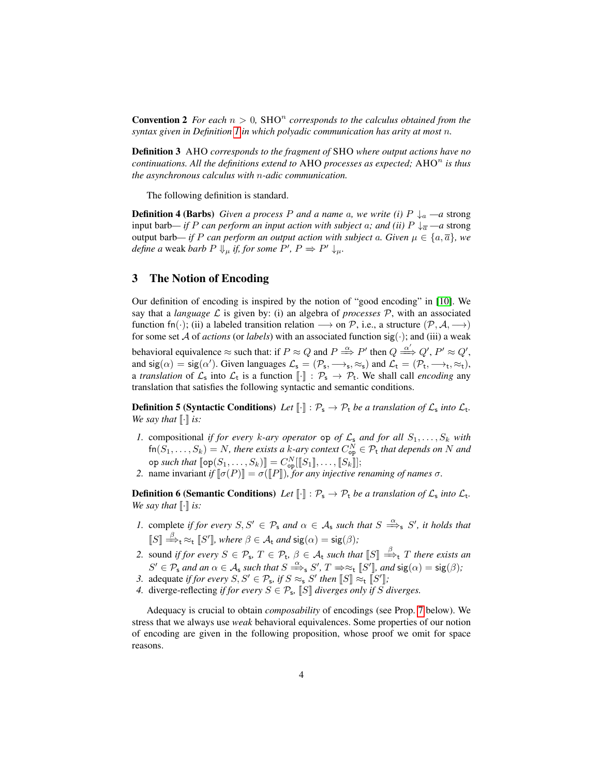**Convention 2** For each  $n > 0$ , SHO<sup>n</sup> corresponds to the calculus obtained from the *syntax given in Definition [1](#page-2-2) in which polyadic communication has arity at most* n*.*

Definition 3 AHO *corresponds to the fragment of* SHO *where output actions have no continuations. All the definitions extend to AHO processes as expected; AHO<sup>n</sup> is thus the asynchronous calculus with* n*-adic communication.*

The following definition is standard.

**Definition 4 (Barbs)** *Given a process* P *and a name a, we write (i)*  $P \downarrow_a -a$  strong input barb— if P can perform an input action with subject a; and (ii)  $P \downarrow_{\overline{a}}$  —a strong output barb— *if* P *can perform an output action with subject a. Given*  $\mu \in \{a, \overline{a}\}$ , we *define a* weak *barb*  $P \Downarrow_{\mu}$  *if, for some*  $P', P \Rightarrow P' \downarrow_{\mu}$ *.* 

# <span id="page-4-1"></span>3 The Notion of Encoding

Our definition of encoding is inspired by the notion of "good encoding" in [\[10\]](#page-12-9). We say that a *language*  $\mathcal L$  is given by: (i) an algebra of *processes*  $\mathcal P$ , with an associated function fn(·); (ii) a labeled transition relation  $\longrightarrow$  on P, i.e., a structure  $(\mathcal{P}, \mathcal{A}, \longrightarrow)$ for some set A of *actions* (or *labels*) with an associated function  $sig(\cdot)$ ; and (iii) a weak behavioral equivalence  $\approx$  such that: if  $P \approx Q$  and  $P \stackrel{\alpha}{\Longrightarrow} P'$  then  $Q \stackrel{\alpha'}{\Longrightarrow} Q', P' \approx Q'$ , and  $sig(\alpha) = sig(\alpha')$ . Given languages  $\mathcal{L}_s = (\mathcal{P}_s, \longrightarrow_s, \approx_s)$  and  $\mathcal{L}_t = (\mathcal{P}_t, \longrightarrow_t, \approx_t)$ , a *translation* of  $\mathcal{L}_s$  into  $\mathcal{L}_t$  is a function  $[\![\cdot]\!] : \mathcal{P}_s \to \mathcal{P}_t$ . We shall call *encoding* any translation that satisfies the following syntactic and semantic conditions.

**Definition 5 (Syntactic Conditions)** Let  $[\![\cdot]\!] : \mathcal{P}_s \to \mathcal{P}_t$  be a translation of  $\mathcal{L}_s$  into  $\mathcal{L}_t$ . *We say that*  $\lbrack \cdot \rbrack$  *is:* 

- *1.* compositional *if for every k*-ary operator op of  $\mathcal{L}_s$  and for all  $S_1, \ldots, S_k$  with  $fn(S_1, ..., S_k) = N$ , there exists a k-ary context  $C_{op}^N \in \mathcal{P}_t$  that depends on N and op such that  $[\![\mathsf{op}(S_1,\ldots,S_k)]\!] = C^N_{\mathsf{op}}[[\![S_1]\!],\ldots,[\![S_k]\!]];$
- *2.* name invariant *if*  $[\![\sigma(P)]\!] = \sigma([\![P]\!])$ *, for any injective renaming of names*  $\sigma$ *.*

**Definition 6 (Semantic Conditions)** Let  $[\![\cdot]\!] : \mathcal{P}_s \to \mathcal{P}_t$  be a translation of  $\mathcal{L}_s$  into  $\mathcal{L}_t$ . *We say that*  $\lbrack \cdot \rbrack$  *is:* 

- *1.* complete *if for every*  $S, S' \in \mathcal{P}_s$  *and*  $\alpha \in \mathcal{A}_s$  *such that*  $S \stackrel{\alpha}{\Longrightarrow}_s S'$ *, it holds that*  $[[S]] \stackrel{\beta}{\Longrightarrow}_{\mathsf{t}} \approx_{\mathsf{t}} [S']$ , where  $\beta \in \mathcal{A}_{\mathsf{t}}$  and  $\text{sig}(\alpha) = \text{sig}(\beta)$ ;
- 2. sound *if for every*  $S \in \mathcal{P}_s$ ,  $T \in \mathcal{P}_t$ ,  $\beta \in \mathcal{A}_t$  *such that*  $\llbracket S \rrbracket \stackrel{\beta}{\implies}$  T *there exists an*  $S' \in \mathcal{P}_s$  and an  $\alpha \in \mathcal{A}_s$  such that  $S \stackrel{\alpha}{\Longrightarrow}_s S'$ ,  $T \Rightarrow \approx_t [S']$ , and  $\text{sig}(\alpha) = \text{sig}(\beta)$ ;
- *3.* adequate *if for every*  $S, S' \in \mathcal{P}_s$ , *if*  $S \approx_s S'$  *then*  $\llbracket S \rrbracket \approx_t \llbracket S' \rrbracket$ ;
- *4.* diverge-reflecting *if for every*  $S \in \mathcal{P}_s$ ,  $\llbracket S \rrbracket$  *diverges only if* S *diverges.*

<span id="page-4-0"></span>Adequacy is crucial to obtain *composability* of encodings (see Prop. [7](#page-4-0) below). We stress that we always use *weak* behavioral equivalences. Some properties of our notion of encoding are given in the following proposition, whose proof we omit for space reasons.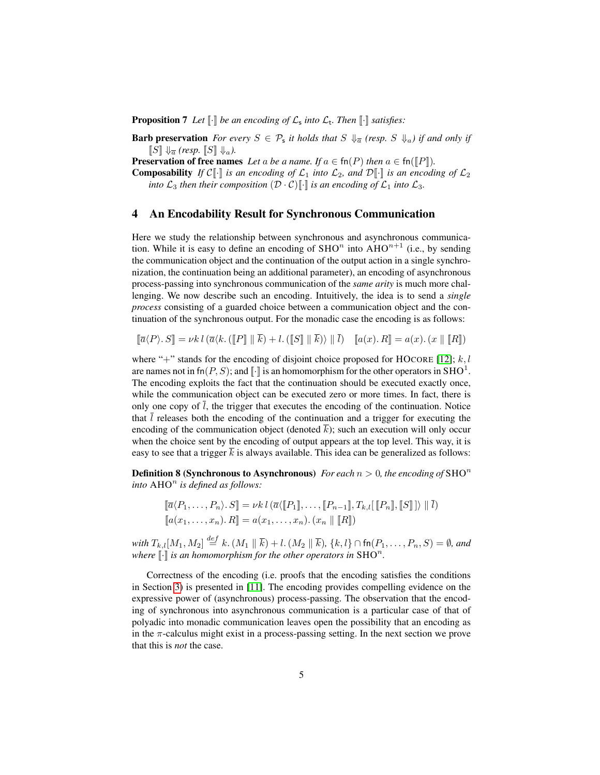**Proposition 7** Let  $\llbracket \cdot \rrbracket$  be an encoding of  $\mathcal{L}_s$  into  $\mathcal{L}_t$ . Then  $\llbracket \cdot \rrbracket$  satisfies:

**Barb preservation** For every  $S \in \mathcal{P}_s$  it holds that  $S \downarrow_{\overline{a}} (resp. S \downarrow_{a})$  if and only if  $\llbracket S \rrbracket \Downarrow_{\overline{a}} (resp. \llbracket S \rrbracket \Downarrow_{a}).$ 

**Preservation of free names** *Let* a *be a name. If*  $a \in \text{fn}(P)$  *then*  $a \in \text{fn}(\llbracket P \rrbracket)$ *.* 

**Composability** If  $\mathcal{C}[\![\cdot]\!]$  *is an encoding of*  $\mathcal{L}_1$  *into*  $\mathcal{L}_2$ *, and*  $\mathcal{D}[\![\cdot]\!]$  *is an encoding of*  $\mathcal{L}_2$ *into*  $\mathcal{L}_3$  *then their composition*  $(\mathcal{D} \cdot \mathcal{C})$ . *is an encoding of*  $\mathcal{L}_1$  *into*  $\mathcal{L}_3$ *.* 

#### <span id="page-5-0"></span>4 An Encodability Result for Synchronous Communication

Here we study the relationship between synchronous and asynchronous communication. While it is easy to define an encoding of  $\text{SHO}^n$  into  $\text{AHO}^{n+1}$  (i.e., by sending the communication object and the continuation of the output action in a single synchronization, the continuation being an additional parameter), an encoding of asynchronous process-passing into synchronous communication of the *same arity* is much more challenging. We now describe such an encoding. Intuitively, the idea is to send a *single process* consisting of a guarded choice between a communication object and the continuation of the synchronous output. For the monadic case the encoding is as follows:

$$
[\![\overline{a}\langle P\rangle.S]\!] = \nu k \, l \, (\overline{a}\langle k, (\llbracket P \rrbracket \parallel \overline{k}) + l, (\llbracket S \rrbracket \parallel \overline{k}) \rangle \parallel \overline{l}) \quad [\llbracket a(x), R \rrbracket = a(x), (x \parallel \llbracket R \rrbracket)
$$

where "+" stands for the encoding of disjoint choice proposed for HOCORE [\[12\]](#page-12-11);  $k, l$ are names not in fn $(P, S)$ ; and  $\llbracket \cdot \rrbracket$  is an homomorphism for the other operators in SHO<sup>1</sup>. The encoding exploits the fact that the continuation should be executed exactly once, while the communication object can be executed zero or more times. In fact, there is only one copy of  $l$ , the trigger that executes the encoding of the continuation. Notice that  $l$  releases both the encoding of the continuation and a trigger for executing the encoding of the communication object (denoted  $\overline{k}$ ); such an execution will only occur when the choice sent by the encoding of output appears at the top level. This way, it is easy to see that a trigger  $k$  is always available. This idea can be generalized as follows:

**Definition 8 (Synchronous to Asynchronous)** *For each*  $n > 0$ *, the encoding of* SHO<sup>n</sup> *into* AHO<sup>n</sup> is defined as follows:

$$
\[\overline{a}\langle P_1,\ldots,P_n\rangle.S\] = \nu k \, l \, (\overline{a}\langle [P_1],\ldots,[P_{n-1}],T_{k,l}[[P_n],[S]]\rangle \parallel l)\]
$$

$$
\[a(x_1,\ldots,x_n).R\] = a(x_1,\ldots,x_n).(x_n \parallel [R])
$$

 $with\ T_{k,l}[M_1,M_2]\stackrel{def}{=}k.(M_1\parallel\overline{k})+l.(M_2\parallel\overline{k}),\{k,l\}\cap\textsf{fn}(P_1,\ldots,P_n,S)=\emptyset\textit{, and}$ where  $\llbracket \cdot \rrbracket$  is an homomorphism for the other operators in SHO<sup>n</sup>.

Correctness of the encoding (i.e. proofs that the encoding satisfies the conditions in Section [3\)](#page-4-1) is presented in [\[11\]](#page-12-10). The encoding provides compelling evidence on the expressive power of (asynchronous) process-passing. The observation that the encoding of synchronous into asynchronous communication is a particular case of that of polyadic into monadic communication leaves open the possibility that an encoding as in the  $\pi$ -calculus might exist in a process-passing setting. In the next section we prove that this is *not* the case.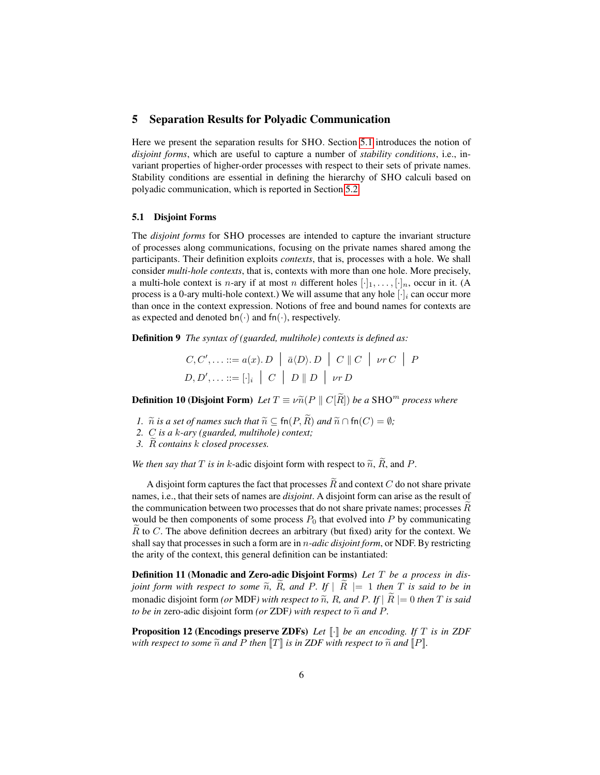### <span id="page-6-0"></span>5 Separation Results for Polyadic Communication

Here we present the separation results for SHO. Section [5.1](#page-6-1) introduces the notion of *disjoint forms*, which are useful to capture a number of *stability conditions*, i.e., invariant properties of higher-order processes with respect to their sets of private names. Stability conditions are essential in defining the hierarchy of SHO calculi based on polyadic communication, which is reported in Section [5.2.](#page-8-0)

#### <span id="page-6-1"></span>5.1 Disjoint Forms

The *disjoint forms* for SHO processes are intended to capture the invariant structure of processes along communications, focusing on the private names shared among the participants. Their definition exploits *contexts*, that is, processes with a hole. We shall consider *multi-hole contexts*, that is, contexts with more than one hole. More precisely, a multi-hole context is *n*-ary if at most *n* different holes  $[\cdot]_1, \ldots, [\cdot]_n$ , occur in it. (A process is a 0-ary multi-hole context.) We will assume that any hole  $[\cdot]_i$  can occur more than once in the context expression. Notions of free and bound names for contexts are as expected and denoted bn( $\cdot$ ) and fn( $\cdot$ ), respectively.

Definition 9 *The syntax of (guarded, multihole) contexts is defined as:*

$$
C, C', \ldots ::= a(x). D \mid \bar{a} \langle D \rangle. D \mid C \parallel C \mid \nu r C \mid P
$$
  

$$
D, D', \ldots ::= [\cdot]_i \mid C \mid D \parallel D \mid \nu r D
$$

**Definition 10 (Disjoint Form)** Let  $T \equiv \nu \tilde{n}(P \parallel C|\tilde{R}|)$  be a SHO<sup>m</sup> process where

- *1.*  $\tilde{n}$  *is a set of names such that*  $\tilde{n} \subseteq \text{fn}(P, \tilde{R})$  *and*  $\tilde{n} \cap \text{fn}(C) = \emptyset$ *;*
- *2.* C *is a* k*-ary (guarded, multihole) context;*
- *3.* Re *contains* k *closed processes.*

*We then say that*  $T$  *is in*  $k$ -adic disjoint form with respect to  $\widetilde{n}$ ,  $\widetilde{R}$ , and  $P$ .

A disjoint form captures the fact that processes  $\widetilde{R}$  and context C do not share private names, i.e., that their sets of names are *disjoint*. A disjoint form can arise as the result of the communication between two processes that do not share private names; processes  $R$ would be then components of some process  $P_0$  that evolved into P by communicating  $R$  to  $C$ . The above definition decrees an arbitrary (but fixed) arity for the context. We shall say that processes in such a form are in n*-adic disjoint form*, or NDF. By restricting the arity of the context, this general definition can be instantiated:

Definition 11 (Monadic and Zero-adic Disjoint Forms) *Let* T *be a process in disjoint form with respect to some*  $\widetilde{n}$ ,  $\widetilde{R}$ , and  $P$ . If  $|R| = 1$  *then*  $T$  *is said to be in* monadic disjoint form *(or* MDF*)* with respect to  $\tilde{n}$ , R, and P. If  $|\tilde{R}| = 0$  then T is said *to be in* zero-adic disjoint form *(or ZDF)* with respect to  $\tilde{n}$  and P.

<span id="page-6-2"></span>**Proposition 12 (Encodings preserve ZDFs)** Let  $\llbracket \cdot \rrbracket$  be an encoding. If T is in ZDF *with respect to some*  $\tilde{n}$  *and*  $P$  *then*  $\llbracket T \rrbracket$  *is in ZDF with respect to*  $\tilde{n}$  *and*  $\llbracket P \rrbracket$ *.*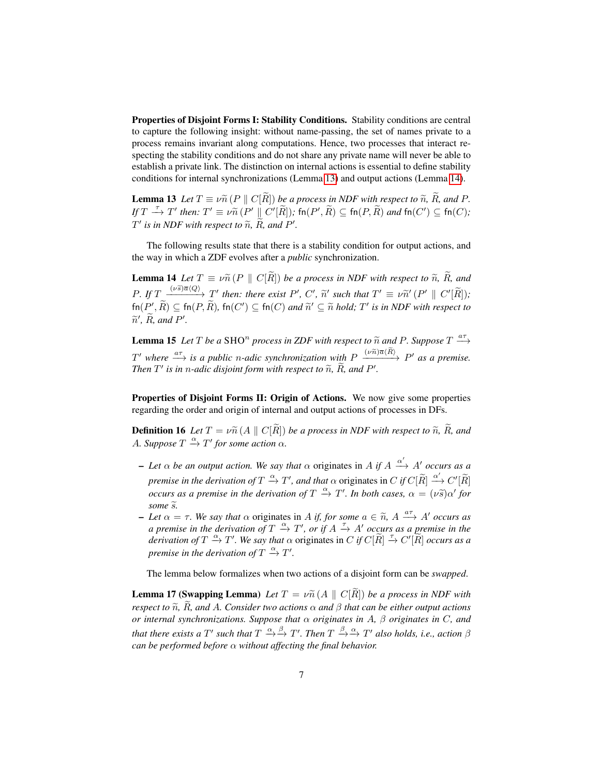Properties of Disjoint Forms I: Stability Conditions. Stability conditions are central to capture the following insight: without name-passing, the set of names private to a process remains invariant along computations. Hence, two processes that interact respecting the stability conditions and do not share any private name will never be able to establish a private link. The distinction on internal actions is essential to define stability conditions for internal synchronizations (Lemma [13\)](#page-7-0) and output actions (Lemma [14\)](#page-7-1).

<span id="page-7-0"></span>**Lemma 13** *Let*  $T \equiv \nu \tilde{n}$  (P || C[R\]) *be a process in NDF with respect to*  $\tilde{n}$ *,*  $\tilde{R}$ *<i>, and P*. *If*  $T \stackrel{\tau}{\to} T'$  then:  $T' \equiv \nu \widetilde{n}(P' \parallel C'[\widetilde{R}])$ ; fn $(P', \widetilde{R}) \subseteq \text{fn}(P, \widetilde{R})$  and  $\text{fn}(C') \subseteq \text{fn}(C)$ ;  $T'$  *is in NDF with respect to*  $\widetilde{n}$ *, R<sub>r</sub>* and P'.

The following results state that there is a stability condition for output actions, and the way in which a ZDF evolves after a *public* synchronization.

<span id="page-7-1"></span>**Lemma 14** *Let*  $T \equiv \nu \tilde{n} (P \parallel C[\tilde{R}])$  *be a process in NDF with respect to*  $\tilde{n}$ *,*  $\tilde{R}$ *<i>, and*  $P.$  If  $T \sim \frac{(\nu \tilde{s}) \overline{a} \langle Q \rangle}{\nu} \mathcal{I}'$  then: there exist P', C',  $\tilde{n}'$  such that  $T' \equiv \nu \tilde{n}' (P' \parallel C'[\tilde{R}])$ ;  ${\sf fn}(P'_\bullet,\overline R)\subseteq {\sf fn}(P,\overline R),\, {\sf fn}(C')\subseteq {\sf fn}(C)\textit{ and } \widetilde n'\subseteq \widetilde n \textit{ hold};\, T' \textit{ is in } NDF \textit{ with respect to }$  $\widetilde{n}'$ ,  $\widetilde{R}$ *, and*  $P'$ *.* 

<span id="page-7-2"></span>**Lemma 15** Let T be a SHO<sup>n</sup> process in ZDF with respect to  $\widetilde{n}$  and P. Suppose  $T \stackrel{a\tau}{\longrightarrow}$  $T'$  where  $\frac{a\tau}{\tau}$  is a public *n*-adic synchronization with  $P \xrightarrow{(\nu \tilde{n}) \overline{a} \langle \tilde{R} \rangle} P'$  as a premise. *Then*  $T'$  *is in n-adic disjoint form with respect to*  $\widetilde{n}$ *,*  $R$ *<i>, and*  $P'$ *.* 

Properties of Disjoint Forms II: Origin of Actions. We now give some properties regarding the order and origin of internal and output actions of processes in DFs.

**Definition 16** Let  $T = \nu \tilde{n} (A \parallel C[\tilde{R}])$  be a process in NDF with respect to  $\tilde{n}$ ,  $\tilde{R}$ , and *A.* Suppose  $T \stackrel{\alpha}{\rightarrow} T'$  for some action  $\alpha$ .

- $-$  *Let*  $\alpha$  *be an output action. We say that*  $\alpha$  originates in A if  $A \xrightarrow{\alpha'} A'$  *occurs as a premise in the derivation of*  $T \stackrel{\alpha}{\rightarrow} T'$ , and that  $\alpha$  originates in  $C$  *if*  $C[\widetilde{R}] \stackrel{\alpha'}{\rightarrow} C'[\widetilde{R}]$ *occurs as a premise in the derivation of*  $T \stackrel{\alpha}{\rightarrow} T'$ . In both cases,  $\alpha = (\nu \tilde{s}) \alpha'$  for *some*  $\widetilde{s}$ *.*
- $I$  *Let*  $\alpha = \tau$ *. We say that*  $\alpha$  originates in *A if, for some*  $\alpha \in \tilde{n}$ *, A*  $\stackrel{a\tau}{\longrightarrow}$  *A' occurs as a premise in the derivation of*  $T \stackrel{\alpha}{\rightarrow} T'$ , *or if*  $A \stackrel{\tau}{\rightarrow} A'$  *occurs as a premise in the derivation of*  $T \xrightarrow{\alpha} T'$ . We say that  $\alpha$  originates in C if  $C[\widetilde{R}] \xrightarrow{\tau} C'[\widetilde{R}]$  occurs as a *premise in the derivation of*  $T \xrightarrow{\alpha} T'$ .

The lemma below formalizes when two actions of a disjoint form can be *swapped*.

**Lemma 17 (Swapping Lemma)** *Let*  $T = \nu \tilde{n} (A \parallel C | \tilde{R} |)$  *be a process in NDF with respect to*  $\tilde{n}$ *, R<sub>r</sub>*, and A*.* Consider two actions  $\alpha$  and  $\beta$  that can be either output actions *or internal synchronizations. Suppose that* α *originates in* A*,* β *originates in* C*, and that there exists a*  $T'$  *such that*  $T \stackrel{\alpha}{\rightarrow} \stackrel{\beta}{\rightarrow} T'$ *. Then*  $T \stackrel{\beta}{\rightarrow} \stackrel{\alpha}{\rightarrow} T'$  *also holds, i.e., action*  $\beta$ *can be performed before* α *without affecting the final behavior.*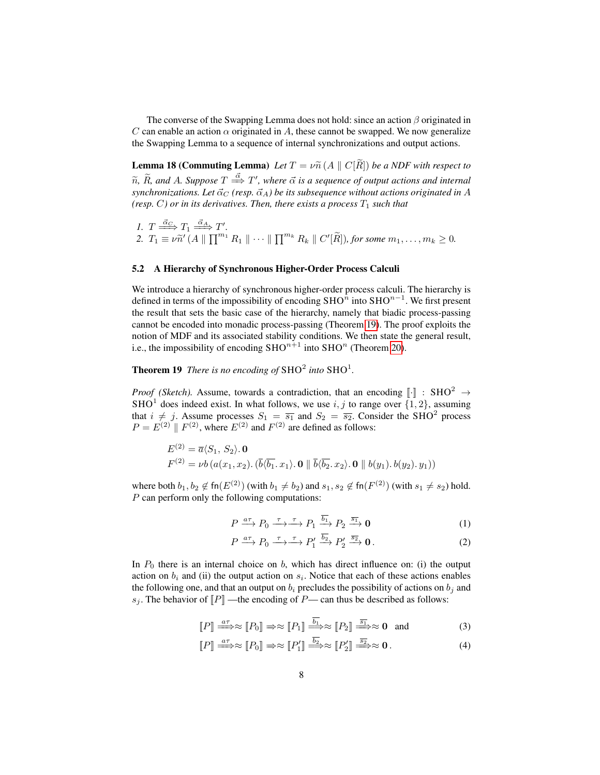The converse of the Swapping Lemma does not hold: since an action  $\beta$  originated in C can enable an action  $\alpha$  originated in A, these cannot be swapped. We now generalize the Swapping Lemma to a sequence of internal synchronizations and output actions.

<span id="page-8-3"></span>**Lemma 18 (Commuting Lemma)** Let  $T = \nu \widetilde{n}$  (A  $\parallel C[R]$ ) be a NDF with respect to  $\widetilde{n}$ ,  $\widetilde{R}$ *, and A. Suppose*  $T \stackrel{\vec{\alpha}}{\Longrightarrow} T'$ *, where*  $\vec{\alpha}$  *is a sequence of output actions and internal*  $synchronizations.$  Let  $\vec{\alpha}_C$  (resp.  $\vec{\alpha}_A$ ) be its subsequence without actions originated in A *(resp. C) or in its derivatives. Then, there exists a process*  $T_1$  *such that* 

*1.*  $T \xrightarrow{\vec{\alpha}_C} T_1 \xrightarrow{\vec{\alpha}_A} T'.$ 2.  $T_1 \equiv \nu \tilde{n}' (A \parallel \prod^{m_1} R_1 \parallel \cdots \parallel \prod^{m_k} R_k \parallel C'[\tilde{R}]),$  for some  $m_1, \ldots, m_k \ge 0$ .

### <span id="page-8-0"></span>5.2 A Hierarchy of Synchronous Higher-Order Process Calculi

We introduce a hierarchy of synchronous higher-order process calculi. The hierarchy is defined in terms of the impossibility of encoding SHO<sup>n</sup> into SHO<sup>n–1</sup>. We first present the result that sets the basic case of the hierarchy, namely that biadic process-passing cannot be encoded into monadic process-passing (Theorem [19\)](#page-8-1). The proof exploits the notion of MDF and its associated stability conditions. We then state the general result, i.e., the impossibility of encoding  $SHO^{n+1}$  into  $SHO^n$  (Theorem [20\)](#page-10-1).

<span id="page-8-1"></span>**Theorem 19** There is no encoding of  $SHO<sup>2</sup>$  into  $SHO<sup>1</sup>$ .

*Proof (Sketch).* Assume, towards a contradiction, that an encoding  $\lVert \cdot \rVert$  : SHO<sup>2</sup>  $\rightarrow$ SHO<sup>1</sup> does indeed exist. In what follows, we use  $i, j$  to range over  $\{1, 2\}$ , assuming that  $i \neq j$ . Assume processes  $S_1 = \overline{s_1}$  and  $S_2 = \overline{s_2}$ . Consider the SHO<sup>2</sup> process  $P = E<sup>(2)</sup> \parallel F<sup>(2)</sup>$ , where  $E<sup>(2)</sup>$  and  $F<sup>(2)</sup>$  are defined as follows:

$$
E^{(2)} = \overline{a} \langle S_1, S_2 \rangle \cdot \mathbf{0}
$$
  

$$
F^{(2)} = \nu b \left( a(x_1, x_2), (\overline{b} \langle \overline{b_1}, x_1 \rangle, \mathbf{0} \parallel \overline{b} \langle \overline{b_2}, x_2 \rangle, \mathbf{0} \parallel b(y_1), b(y_2), y_1) \right)
$$

where both  $b_1, b_2 \not\in \textsf{fn}(E^{(2)})$  (with  $b_1 \neq b_2$ ) and  $s_1, s_2 \not\in \textsf{fn}(F^{(2)})$  (with  $s_1 \neq s_2$ ) hold. P can perform only the following computations:

$$
P \xrightarrow{a\tau} P_0 \xrightarrow{\tau} \xrightarrow{\tau} P_1 \xrightarrow{\overline{b_1}} P_2 \xrightarrow{\overline{s_1}} \mathbf{0}
$$
 (1)

$$
P \xrightarrow{a\tau} P_0 \xrightarrow{\tau} \xrightarrow{\tau} P_1' \xrightarrow{b_2} P_2' \xrightarrow{\overline{s_2}} \mathbf{0}.
$$
 (2)

In  $P_0$  there is an internal choice on b, which has direct influence on: (i) the output action on  $b_i$  and (ii) the output action on  $s_i$ . Notice that each of these actions enables the following one, and that an output on  $b_i$  precludes the possibility of actions on  $b_i$  and  $s_j$ . The behavior of  $[$ P $]$  —the encoding of P— can thus be described as follows:

$$
[\![P]\!] \stackrel{a\tau}{\Longrightarrow} \approx [\![P_0]\!] \Rightarrow \approx [\![P_1]\!] \stackrel{\overline{b_1}}{\Longrightarrow} \approx [\![P_2]\!] \stackrel{\overline{s_1}}{\Longrightarrow} \approx 0 \text{ and } (3)
$$

<span id="page-8-2"></span>
$$
[P] \stackrel{a\tau}{\Longrightarrow} \approx [P_0] \Rightarrow \approx [P'_1] \stackrel{b_2}{\Longrightarrow} \approx [P'_2] \stackrel{\overline{s_2}}{\Longrightarrow} \approx \mathbf{0} \,. \tag{4}
$$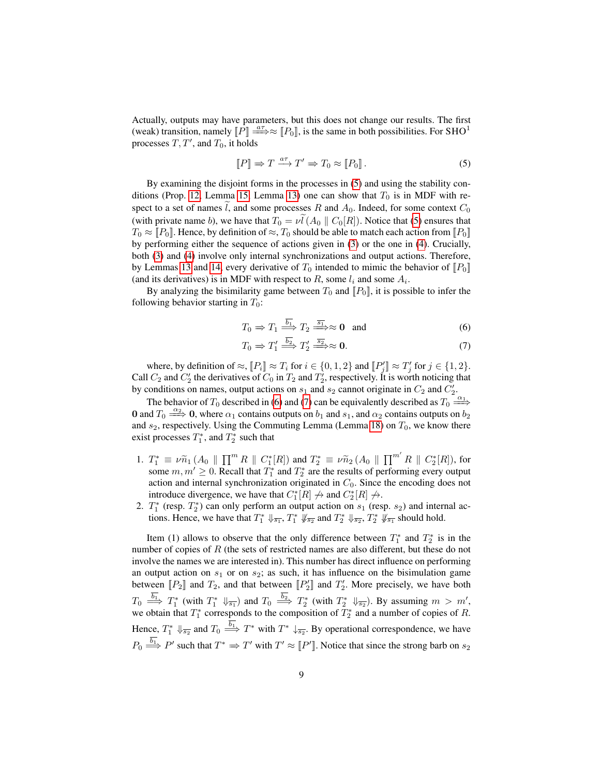Actually, outputs may have parameters, but this does not change our results. The first (weak) transition, namely  $\overline{P}$  =  $\Rightarrow \approx$   $\overline{P}_0$ , is the same in both possibilities. For SHO<sup>1</sup> processes  $T, T'$ , and  $T_0$ , it holds

<span id="page-9-0"></span>
$$
[\![P]\!] \Rightarrow T \xrightarrow{a\tau} T' \Rightarrow T_0 \approx [\![P_0]\!]. \tag{5}
$$

By examining the disjoint forms in the processes in [\(5\)](#page-9-0) and using the stability con-ditions (Prop. [12,](#page-6-2) Lemma [15,](#page-7-2) Lemma [13\)](#page-7-0) one can show that  $T_0$  is in MDF with respect to a set of names l, and some processes R and  $A_0$ . Indeed, for some context  $C_0$ (with private name b), we have that  $T_0 = \nu \tilde{l} (A_0 \parallel C_0[R])$ . Notice that [\(5\)](#page-9-0) ensures that  $T_0 \approx [P_0]$ . Hence, by definition of  $\approx$ ,  $T_0$  should be able to match each action from  $[P_0]$ by performing either the sequence of actions given in [\(3\)](#page-8-2) or the one in [\(4\)](#page-8-2). Crucially, both [\(3\)](#page-8-2) and [\(4\)](#page-8-2) involve only internal synchronizations and output actions. Therefore, by Lemmas [13](#page-7-0) and [14,](#page-7-1) every derivative of  $T_0$  intended to mimic the behavior of  $[[P_0]]$ (and its derivatives) is in MDF with respect to R, some  $l_i$  and some  $A_i$ .

By analyzing the bisimilarity game between  $T_0$  and  $\llbracket P_0 \rrbracket$ , it is possible to infer the following behavior starting in  $T_0$ :

$$
T_0 \Rightarrow T_1 \stackrel{\overline{b_1}}{\Longrightarrow} T_2 \stackrel{\overline{s_1}}{\Longrightarrow} \approx \mathbf{0} \quad \text{and} \tag{6}
$$

<span id="page-9-1"></span>
$$
T_0 \Rightarrow T_1' \stackrel{b_2}{\Longrightarrow} T_2' \stackrel{\overline{s_2}}{\Longrightarrow} \approx \mathbf{0}.\tag{7}
$$

where, by definition of  $\approx$ ,  $[[P_i] \approx T_i$  for  $i \in \{0, 1, 2\}$  and  $[[P'_j] \approx T'_j$  for  $j \in \{1, 2\}$ . Call  $C_2$  and  $C_2'$  the derivatives of  $C_0$  in  $T_2$  and  $T_2'$ , respectively. It is worth noticing that by conditions on names, output actions on  $s_1$  and  $s_2$  cannot originate in  $C_2$  and  $C_2'$ .

The behavior of  $T_0$  described in [\(6\)](#page-9-1) and [\(7\)](#page-9-1) can be equivalently described as  $T_0 \stackrel{\alpha_1}{\Longrightarrow}$ 0 and  $T_0 \stackrel{\alpha_2}{\Longrightarrow} 0$ , where  $\alpha_1$  contains outputs on  $b_1$  and  $s_1$ , and  $\alpha_2$  contains outputs on  $b_2$ and  $s_2$ , respectively. Using the Commuting Lemma (Lemma [18\)](#page-8-3) on  $T_0$ , we know there exist processes  $T_1^*$ , and  $T_2^*$  such that

- 1.  $T_1^* \equiv \nu \tilde{n}_1 (A_0 \parallel \prod^m R \parallel C_1^*[R])$  and  $T_2^* \equiv \nu \tilde{n}_2 (A_0 \parallel \prod^{m'} R \parallel C_2^*[R])$ , for some  $m, m' \geq 0$ . Recall that  $T_1^*$  and  $T_2^*$  are the results of performing every output action and internal synchronization originated in  $C_0$ . Since the encoding does not introduce divergence, we have that  $C_1^*[R] \nrightarrow$  and  $C_2^*[R] \nrightarrow$ .
- 2.  $T_1^*$  (resp.  $T_2^*$ ) can only perform an output action on  $s_1$  (resp.  $s_2$ ) and internal actions. Hence, we have that  $T_1^* \Downarrow_{\overline{s_1}}$ ,  $T_1^* \Downarrow_{\overline{s_2}}$  and  $T_2^* \Downarrow_{\overline{s_2}}$ ,  $T_2^* \Downarrow_{\overline{s_1}}$  should hold.

Item (1) allows to observe that the only difference between  $T_1^*$  and  $T_2^*$  is in the number of copies of  $R$  (the sets of restricted names are also different, but these do not involve the names we are interested in). This number has direct influence on performing an output action on  $s_1$  or on  $s_2$ ; as such, it has influence on the bisimulation game between  $[[P_2]]$  and  $T_2$ , and that between  $[[P'_2]]$  and  $T'_2$ . More precisely, we have both  $T_0 \stackrel{b_1}{\Longrightarrow} T_1^*$  (with  $T_1^* \Downarrow_{\overline{s_1}}$ ) and  $T_0 \stackrel{b_2}{\Longrightarrow} T_2^*$  (with  $T_2^* \Downarrow_{\overline{s_2}}$ ). By assuming  $m > m'$ , we obtain that  $T_1^*$  corresponds to the composition of  $T_2^*$  and a number of copies of R. Hence,  $T_1^* \Downarrow_{\overline{s_2}}$  and  $T_0 \stackrel{b_1}{\Longrightarrow} T^*$  with  $T^* \downarrow_{\overline{s_2}}$ . By operational correspondence, we have  $P_0 \stackrel{b_1}{\Longrightarrow} P'$  such that  $T^* \Rightarrow T'$  with  $T' \approx [P']$ . Notice that since the strong barb on  $s_2$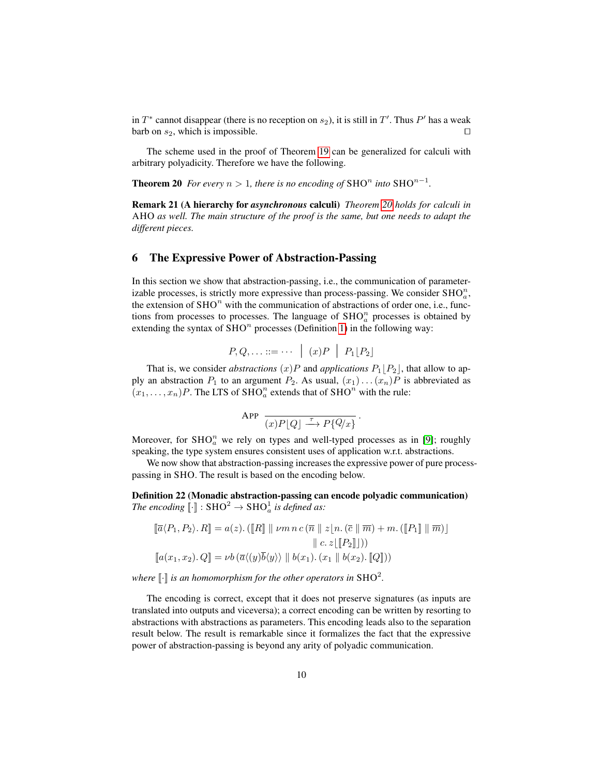in  $T^*$  cannot disappear (there is no reception on  $s_2$ ), it is still in  $T'$ . Thus  $P'$  has a weak barb on  $s_2$ , which is impossible. □

The scheme used in the proof of Theorem [19](#page-8-1) can be generalized for calculi with arbitrary polyadicity. Therefore we have the following.

<span id="page-10-1"></span>**Theorem 20** For every  $n > 1$ , there is no encoding of SHO<sup>n</sup> into SHO<sup>n-1</sup>.

Remark 21 (A hierarchy for *asynchronous* calculi) *Theorem [20](#page-10-1) holds for calculi in* AHO *as well. The main structure of the proof is the same, but one needs to adapt the different pieces.*

# <span id="page-10-0"></span>6 The Expressive Power of Abstraction-Passing

In this section we show that abstraction-passing, i.e., the communication of parameterizable processes, is strictly more expressive than process-passing. We consider  $\text{SHO}_a^n$ , the extension of  $\text{SHO}^n$  with the communication of abstractions of order one, i.e., functions from processes to processes. The language of  $\text{SHO}_a^n$  processes is obtained by extending the syntax of  $\text{SHO}^n$  processes (Definition [1\)](#page-2-2) in the following way:

$$
P,Q,\ldots ::= \cdots | (x)P | P_1[P_2]
$$

That is, we consider *abstractions*  $(x)P$  and *applications*  $P_1|P_2|$ , that allow to apply an abstraction  $P_1$  to an argument  $P_2$ . As usual,  $(x_1) \dots (x_n)P$  is abbreviated as  $(x_1, \ldots, x_n)P$ . The LTS of SHO<sub>n</sub> extends that of SHO<sup>n</sup> with the rule:

$$
\text{APP} \quad \frac{}{(x)P[Q] \xrightarrow{\tau} P\{Q/x\}}.
$$

Moreover, for  $SHO<sub>a</sub><sup>n</sup>$  we rely on types and well-typed processes as in [\[9\]](#page-12-8); roughly speaking, the type system ensures consistent uses of application w.r.t. abstractions.

We now show that abstraction-passing increases the expressive power of pure processpassing in SHO. The result is based on the encoding below.

<span id="page-10-2"></span>Definition 22 (Monadic abstraction-passing can encode polyadic communication) The encoding  $\lbrack \cdot \rbrack$  :  $\text{SHO}^2 \to \text{SHO}_a^1$  is defined as:

$$
\[\overline{a}\langle P_1, P_2 \rangle \cdot R\] = a(z) \cdot (\llbracket R \rrbracket \parallel \nu m \, n \, c \, (\overline{n} \parallel z \lfloor n \cdot (\overline{c} \parallel \overline{m}) + m \cdot (\llbracket P_1 \rrbracket \parallel \overline{m}) \, \rrbracket \right)
$$
\n
$$
\parallel c \, z \lfloor \llbracket P_2 \rrbracket \rfloor))
$$
\n
$$
\[\[a(x_1, x_2) \cdot Q\] = \nu b \, (\overline{a}\langle (y) \overline{b} \langle y \rangle \rangle \parallel b(x_1) \cdot (x_1 \parallel b(x_2) \cdot \llbracket Q \rrbracket))
$$

where  $\lbrack\! \lbrack\cdot\rbrack\! \rbrack$  is an homomorphism for the other operators in  $\mathrm{SHO}^2.$ 

The encoding is correct, except that it does not preserve signatures (as inputs are translated into outputs and viceversa); a correct encoding can be written by resorting to abstractions with abstractions as parameters. This encoding leads also to the separation result below. The result is remarkable since it formalizes the fact that the expressive power of abstraction-passing is beyond any arity of polyadic communication.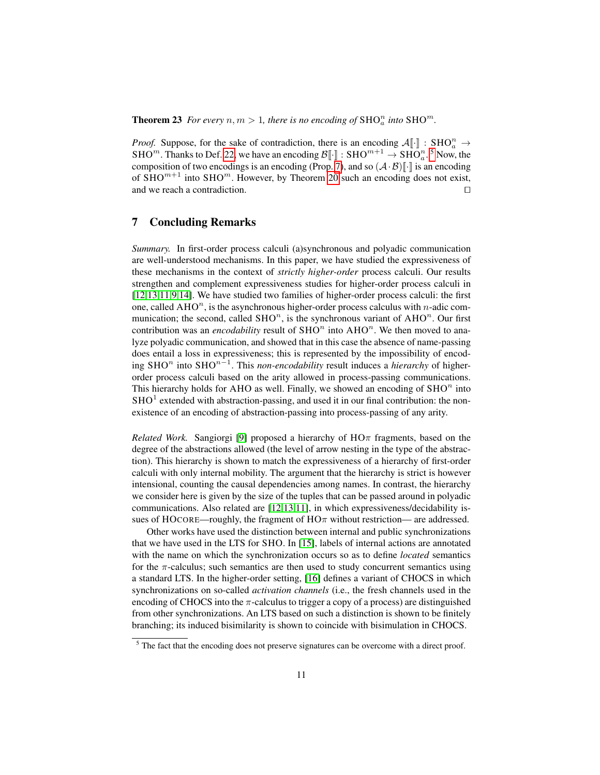**Theorem 23** For every  $n, m > 1$ , there is no encoding of  $\text{SHO}_a^n$  into  $\text{SHO}^m$ .

*Proof.* Suppose, for the sake of contradiction, there is an encoding  $\mathcal{A}[\cdot]$  : SHO $^n_a \to$ SHO<sup>m</sup>. Thanks to Def. [22,](#page-10-2) we have an encoding  $\mathcal{B}[\cdot] : \text{SHO}^{m+1} \to \text{SHO}_a^n$ . <sup>[5](#page-11-0)</sup> Now, the composition of two encodings is an encoding (Prop. [7\)](#page-4-0), and so  $(A \cdot B)$ . is an encoding of  $\text{SHO}^{m+1}$  into  $\text{SHO}^m$ . However, by Theorem [20](#page-10-1) such an encoding does not exist, and we reach a contradiction. □

# 7 Concluding Remarks

*Summary.* In first-order process calculi (a)synchronous and polyadic communication are well-understood mechanisms. In this paper, we have studied the expressiveness of these mechanisms in the context of *strictly higher-order* process calculi. Our results strengthen and complement expressiveness studies for higher-order process calculi in [\[12,](#page-12-11)[13](#page-12-12)[,11](#page-12-10)[,9](#page-12-8)[,14\]](#page-12-13). We have studied two families of higher-order process calculi: the first one, called  $AHO<sup>n</sup>$ , is the asynchronous higher-order process calculus with *n*-adic communication; the second, called  $\text{SHO}^n$ , is the synchronous variant of  $\text{AHO}^n$ . Our first contribution was an *encodability* result of  $SHO<sup>n</sup>$  into  $AHO<sup>n</sup>$ . We then moved to analyze polyadic communication, and showed that in this case the absence of name-passing does entail a loss in expressiveness; this is represented by the impossibility of encod- $\int$ ing SHO<sup>n</sup> into SHO<sup>n-1</sup>. This *non-encodability* result induces a *hierarchy* of higherorder process calculi based on the arity allowed in process-passing communications. This hierarchy holds for AHO as well. Finally, we showed an encoding of  $\text{SHO}^n$  into  $SHO<sup>1</sup>$  extended with abstraction-passing, and used it in our final contribution: the nonexistence of an encoding of abstraction-passing into process-passing of any arity.

*Related Work.* Sangiorgi [\[9\]](#page-12-8) proposed a hierarchy of  $H\Omega$ <sup> $\pi$ </sup> fragments, based on the degree of the abstractions allowed (the level of arrow nesting in the type of the abstraction). This hierarchy is shown to match the expressiveness of a hierarchy of first-order calculi with only internal mobility. The argument that the hierarchy is strict is however intensional, counting the causal dependencies among names. In contrast, the hierarchy we consider here is given by the size of the tuples that can be passed around in polyadic communications. Also related are [\[12](#page-12-11)[,13](#page-12-12)[,11\]](#page-12-10), in which expressiveness/decidability issues of HOCORE—roughly, the fragment of  $H\Omega \pi$  without restriction— are addressed.

Other works have used the distinction between internal and public synchronizations that we have used in the LTS for SHO. In [\[15\]](#page-12-14), labels of internal actions are annotated with the name on which the synchronization occurs so as to define *located* semantics for the  $\pi$ -calculus; such semantics are then used to study concurrent semantics using a standard LTS. In the higher-order setting, [\[16\]](#page-12-15) defines a variant of CHOCS in which synchronizations on so-called *activation channels* (i.e., the fresh channels used in the encoding of CHOCS into the  $\pi$ -calculus to trigger a copy of a process) are distinguished from other synchronizations. An LTS based on such a distinction is shown to be finitely branching; its induced bisimilarity is shown to coincide with bisimulation in CHOCS.

<span id="page-11-0"></span> $<sup>5</sup>$  The fact that the encoding does not preserve signatures can be overcome with a direct proof.</sup>